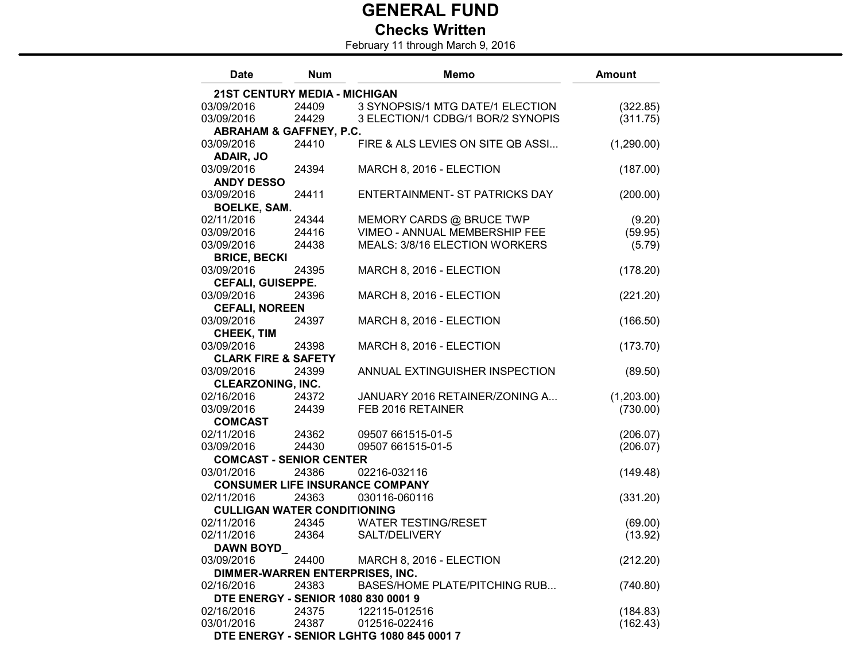## Checks Written

| <b>Date</b>                         | <b>Num</b>                           | <b>Memo</b>                               | <b>Amount</b> |
|-------------------------------------|--------------------------------------|-------------------------------------------|---------------|
|                                     | <b>21ST CENTURY MEDIA - MICHIGAN</b> |                                           |               |
| 03/09/2016                          | 24409                                | 3 SYNOPSIS/1 MTG DATE/1 ELECTION          | (322.85)      |
| 03/09/2016                          | 24429                                | 3 ELECTION/1 CDBG/1 BOR/2 SYNOPIS         | (311.75)      |
|                                     | <b>ABRAHAM &amp; GAFFNEY, P.C.</b>   |                                           |               |
| 03/09/2016                          | 24410                                | FIRE & ALS LEVIES ON SITE QB ASSI         | (1,290.00)    |
| ADAIR, JO                           |                                      |                                           |               |
| 03/09/2016                          | 24394                                | MARCH 8, 2016 - ELECTION                  | (187.00)      |
| <b>ANDY DESSO</b>                   |                                      |                                           |               |
| 03/09/2016                          | 24411                                | ENTERTAINMENT- ST PATRICKS DAY            | (200.00)      |
| <b>BOELKE, SAM.</b>                 |                                      |                                           |               |
| 02/11/2016                          | 24344                                | MEMORY CARDS @ BRUCE TWP                  | (9.20)        |
| 03/09/2016                          | 24416                                | VIMEO - ANNUAL MEMBERSHIP FEE             | (59.95)       |
| 03/09/2016                          | 24438                                | MEALS: 3/8/16 ELECTION WORKERS            | (5.79)        |
| <b>BRICE, BECKI</b>                 |                                      |                                           |               |
| 03/09/2016                          | 24395                                | MARCH 8, 2016 - ELECTION                  | (178.20)      |
| <b>CEFALI, GUISEPPE.</b>            |                                      |                                           |               |
| 03/09/2016<br><b>CEFALI, NOREEN</b> | 24396                                | MARCH 8, 2016 - ELECTION                  | (221.20)      |
| 03/09/2016                          | 24397                                | MARCH 8, 2016 - ELECTION                  | (166.50)      |
| CHEEK, TIM                          |                                      |                                           |               |
| 03/09/2016                          | 24398                                | MARCH 8, 2016 - ELECTION                  | (173.70)      |
| <b>CLARK FIRE &amp; SAFETY</b>      |                                      |                                           |               |
| 03/09/2016                          | 24399                                | ANNUAL EXTINGUISHER INSPECTION            | (89.50)       |
| <b>CLEARZONING, INC.</b>            |                                      |                                           |               |
| 02/16/2016                          | 24372                                | JANUARY 2016 RETAINER/ZONING A            | (1,203.00)    |
| 03/09/2016                          | 24439                                | FEB 2016 RETAINER                         | (730.00)      |
| <b>COMCAST</b>                      |                                      |                                           |               |
| 02/11/2016                          | 24362                                | 09507 661515-01-5                         | (206.07)      |
| 03/09/2016                          | 24430                                | 09507 661515-01-5                         | (206.07)      |
|                                     | <b>COMCAST - SENIOR CENTER</b>       |                                           |               |
| 03/01/2016                          | 24386                                | 02216-032116                              | (149.48)      |
|                                     |                                      | <b>CONSUMER LIFE INSURANCE COMPANY</b>    |               |
| 02/11/2016                          | 24363                                | 030116-060116                             | (331.20)      |
|                                     | <b>CULLIGAN WATER CONDITIONING</b>   |                                           |               |
| 02/11/2016                          | 24345                                | <b>WATER TESTING/RESET</b>                | (69.00)       |
| 02/11/2016                          | 24364                                | SALT/DELIVERY                             | (13.92)       |
| <b>DAWN BOYD</b>                    |                                      |                                           |               |
| 03/09/2016                          | 24400                                | MARCH 8, 2016 - ELECTION                  | (212.20)      |
|                                     |                                      | DIMMER-WARREN ENTERPRISES, INC.           |               |
| 02/16/2016                          | 24383                                | <b>BASES/HOME PLATE/PITCHING RUB</b>      | (740.80)      |
|                                     |                                      | DTE ENERGY - SENIOR 1080 830 0001 9       |               |
| 02/16/2016                          | 24375                                | 122115-012516                             | (184.83)      |
| 03/01/2016                          | 24387                                | 012516-022416                             | (162.43)      |
|                                     |                                      | DTE ENERGY - SENIOR LGHTG 1080 845 0001 7 |               |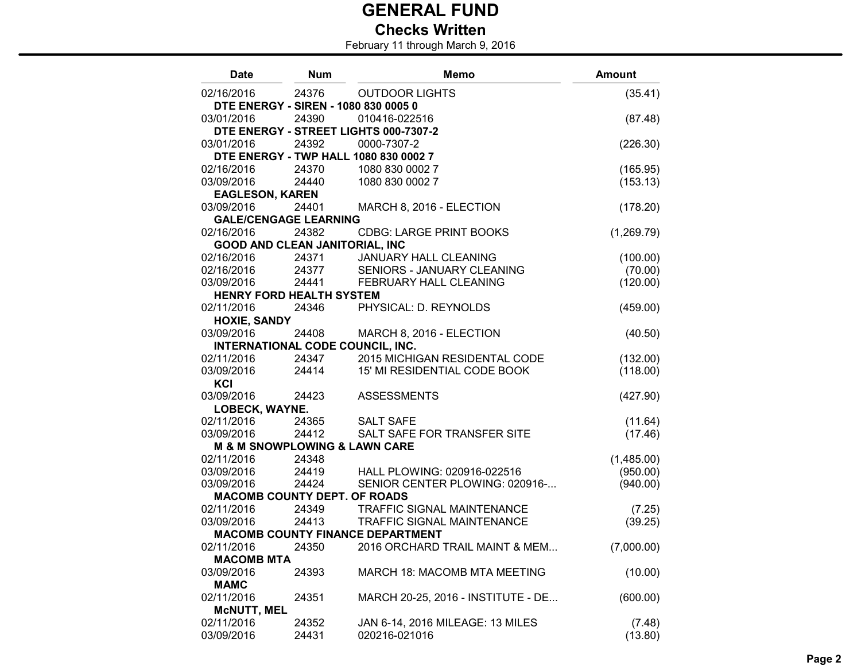## Checks Written

| Date                   | <b>Num</b>                            | <b>Memo</b>                                  | <b>Amount</b> |
|------------------------|---------------------------------------|----------------------------------------------|---------------|
| 02/16/2016             | 24376                                 | <b>OUTDOOR LIGHTS</b>                        | (35.41)       |
|                        |                                       | DTE ENERGY - SIREN - 1080 830 0005 0         |               |
| 03/01/2016             | 24390                                 | 010416-022516                                | (87.48)       |
|                        |                                       | DTE ENERGY - STREET LIGHTS 000-7307-2        |               |
| 03/01/2016             | 24392                                 | 0000-7307-2                                  | (226.30)      |
|                        |                                       | DTE ENERGY - TWP HALL 1080 830 0002 7        |               |
| 02/16/2016             | 24370                                 | 1080 830 0002 7                              | (165.95)      |
| 03/09/2016             | 24440                                 | 1080 830 0002 7                              | (153.13)      |
| <b>EAGLESON, KAREN</b> |                                       |                                              |               |
| 03/09/2016             | 24401                                 | MARCH 8, 2016 - ELECTION                     | (178.20)      |
|                        | <b>GALE/CENGAGE LEARNING</b>          |                                              |               |
| 02/16/2016             | 24382                                 | <b>CDBG: LARGE PRINT BOOKS</b>               | (1,269.79)    |
|                        | <b>GOOD AND CLEAN JANITORIAL, INC</b> |                                              |               |
| 02/16/2016             | 24371                                 | JANUARY HALL CLEANING                        | (100.00)      |
| 02/16/2016             | 24377                                 | SENIORS - JANUARY CLEANING                   | (70.00)       |
| 03/09/2016             | 24441                                 | <b>FEBRUARY HALL CLEANING</b>                | (120.00)      |
|                        | <b>HENRY FORD HEALTH SYSTEM</b>       |                                              |               |
| 02/11/2016             | 24346                                 | PHYSICAL: D. REYNOLDS                        | (459.00)      |
| <b>HOXIE, SANDY</b>    |                                       |                                              |               |
| 03/09/2016             | 24408                                 | MARCH 8, 2016 - ELECTION                     | (40.50)       |
|                        |                                       | <b>INTERNATIONAL CODE COUNCIL, INC.</b>      |               |
| 02/11/2016             | 24347                                 | 2015 MICHIGAN RESIDENTAL CODE                | (132.00)      |
| 03/09/2016             | 24414                                 | 15' MI RESIDENTIAL CODE BOOK                 | (118.00)      |
| KCI                    |                                       |                                              |               |
| 03/09/2016             | 24423                                 | <b>ASSESSMENTS</b>                           | (427.90)      |
| LOBECK, WAYNE.         |                                       |                                              |               |
| 02/11/2016             | 24365                                 | <b>SALT SAFE</b>                             | (11.64)       |
| 03/09/2016             | 24412                                 | SALT SAFE FOR TRANSFER SITE                  | (17.46)       |
|                        |                                       | <b>M &amp; M SNOWPLOWING &amp; LAWN CARE</b> |               |
| 02/11/2016             | 24348                                 |                                              | (1,485.00)    |
| 03/09/2016             | 24419                                 | HALL PLOWING: 020916-022516                  | (950.00)      |
| 03/09/2016             | 24424                                 | SENIOR CENTER PLOWING: 020916-               | (940.00)      |
|                        | <b>MACOMB COUNTY DEPT. OF ROADS</b>   |                                              |               |
| 02/11/2016             | 24349                                 | <b>TRAFFIC SIGNAL MAINTENANCE</b>            | (7.25)        |
| 03/09/2016             | 24413                                 | <b>TRAFFIC SIGNAL MAINTENANCE</b>            | (39.25)       |
|                        |                                       | <b>MACOMB COUNTY FINANCE DEPARTMENT</b>      |               |
| 02/11/2016             | 24350                                 | 2016 ORCHARD TRAIL MAINT & MEM               | (7,000.00)    |
| <b>MACOMB MTA</b>      |                                       |                                              |               |
| 03/09/2016             | 24393                                 | <b>MARCH 18: MACOMB MTA MEETING</b>          | (10.00)       |
| <b>MAMC</b>            |                                       |                                              |               |
| 02/11/2016             | 24351                                 | MARCH 20-25, 2016 - INSTITUTE - DE           | (600.00)      |
| <b>MCNUTT, MEL</b>     |                                       |                                              |               |
| 02/11/2016             | 24352                                 | JAN 6-14, 2016 MILEAGE: 13 MILES             | (7.48)        |
| 03/09/2016             | 24431                                 | 020216-021016                                | (13.80)       |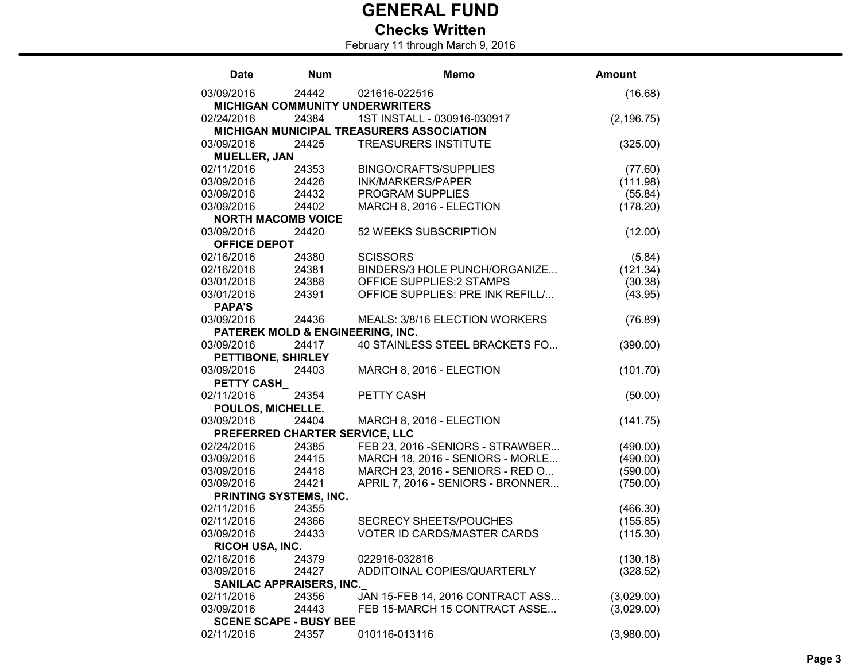### Checks Written

| <b>Date</b>         | <b>Num</b>                      | <b>Memo</b>                                      | <b>Amount</b> |
|---------------------|---------------------------------|--------------------------------------------------|---------------|
| 03/09/2016          | 24442                           | 021616-022516                                    | (16.68)       |
|                     |                                 | <b>MICHIGAN COMMUNITY UNDERWRITERS</b>           |               |
| 02/24/2016          | 24384                           | 1ST INSTALL - 030916-030917                      | (2, 196.75)   |
|                     |                                 | <b>MICHIGAN MUNICIPAL TREASURERS ASSOCIATION</b> |               |
| 03/09/2016          | 24425                           | <b>TREASURERS INSTITUTE</b>                      | (325.00)      |
| <b>MUELLER, JAN</b> |                                 |                                                  |               |
| 02/11/2016          | 24353                           | <b>BINGO/CRAFTS/SUPPLIES</b>                     | (77.60)       |
| 03/09/2016          | 24426                           | <b>INK/MARKERS/PAPER</b>                         | (111.98)      |
| 03/09/2016          | 24432                           | PROGRAM SUPPLIES                                 | (55.84)       |
| 03/09/2016          | 24402                           | MARCH 8, 2016 - ELECTION                         | (178.20)      |
|                     | <b>NORTH MACOMB VOICE</b>       |                                                  |               |
| 03/09/2016          | 24420                           | 52 WEEKS SUBSCRIPTION                            | (12.00)       |
| <b>OFFICE DEPOT</b> |                                 |                                                  |               |
| 02/16/2016          | 24380                           | <b>SCISSORS</b>                                  | (5.84)        |
| 02/16/2016          | 24381                           | BINDERS/3 HOLE PUNCH/ORGANIZE                    | (121.34)      |
| 03/01/2016          | 24388                           | OFFICE SUPPLIES:2 STAMPS                         | (30.38)       |
| 03/01/2016          | 24391                           | OFFICE SUPPLIES: PRE INK REFILL/                 | (43.95)       |
| <b>PAPA'S</b>       |                                 |                                                  |               |
| 03/09/2016          | 24436                           | MEALS: 3/8/16 ELECTION WORKERS                   | (76.89)       |
|                     |                                 | <b>PATEREK MOLD &amp; ENGINEERING, INC.</b>      |               |
| 03/09/2016          | 24417                           | 40 STAINLESS STEEL BRACKETS FO                   | (390.00)      |
| PETTIBONE, SHIRLEY  |                                 |                                                  |               |
| 03/09/2016          | 24403                           | MARCH 8, 2016 - ELECTION                         | (101.70)      |
| <b>PETTY CASH</b>   |                                 |                                                  |               |
| 02/11/2016          | 24354                           | PETTY CASH                                       | (50.00)       |
| POULOS, MICHELLE.   |                                 |                                                  |               |
| 03/09/2016          | 24404                           | MARCH 8, 2016 - ELECTION                         | (141.75)      |
|                     | PREFERRED CHARTER SERVICE, LLC  |                                                  |               |
| 02/24/2016          | 24385                           | FEB 23, 2016 - SENIORS - STRAWBER                | (490.00)      |
| 03/09/2016          | 24415                           | MARCH 18, 2016 - SENIORS - MORLE                 | (490.00)      |
| 03/09/2016          | 24418                           | MARCH 23, 2016 - SENIORS - RED O                 | (590.00)      |
| 03/09/2016          | 24421                           | APRIL 7, 2016 - SENIORS - BRONNER                | (750.00)      |
|                     | PRINTING SYSTEMS, INC.          |                                                  |               |
| 02/11/2016          | 24355                           |                                                  | (466.30)      |
| 02/11/2016          | 24366                           | <b>SECRECY SHEETS/POUCHES</b>                    | (155.85)      |
| 03/09/2016          | 24433                           | <b>VOTER ID CARDS/MASTER CARDS</b>               | (115.30)      |
| RICOH USA, INC.     |                                 |                                                  |               |
| 02/16/2016          | 24379                           | 022916-032816                                    | (130.18)      |
| 03/09/2016          | 24427                           | ADDITOINAL COPIES/QUARTERLY                      | (328.52)      |
|                     | <b>SANILAC APPRAISERS, INC.</b> |                                                  |               |
| 02/11/2016          | 24356                           | JAN 15-FEB 14, 2016 CONTRACT ASS                 | (3,029.00)    |
| 03/09/2016          | 24443                           | FEB 15-MARCH 15 CONTRACT ASSE                    | (3,029.00)    |
|                     | <b>SCENE SCAPE - BUSY BEE</b>   |                                                  |               |
| 02/11/2016          | 24357                           | 010116-013116                                    | (3,980.00)    |